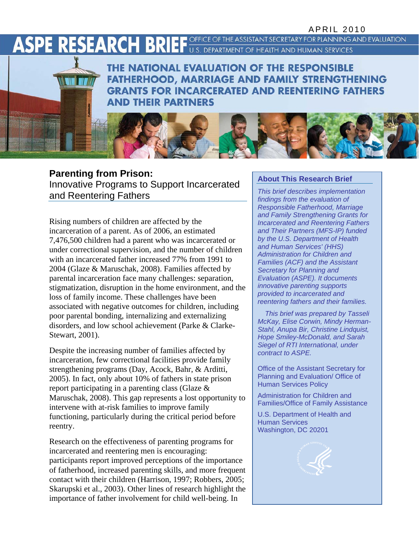# **ASPE RESEARCH BRIEF**

OFFICE OF THE ASSISTANT SECRETARY FOR PLANNING AND EVALUATION U.S. DEPARTMENT OF HEALTH AND HUMAN SERVICES

THE NATIONAL EVALUATION OF THE RESPONSIBLE **FATHERHOOD, MARRIAGE AND FAMILY STRENGTHENING GRANTS FOR INCARCERATED AND REENTERING FATHERS AND THEIR PARTNERS** 

# **Parenting from Prison:**<br>Innovative Programs to Support Incarcerated **About This Research Brief**<br> **About This brief describes implementation**

and Reentering Fathers

Rising numbers of children are affected by the incarceration of a parent. As of 2006, an estimated 7,476,500 children had a parent who was incarcerated or under correctional supervision, and the number of children with an incarcerated father increased 77% from 1991 to 2004 (Glaze & Maruschak, 2008). Families affected by parental incarceration face many challenges: separation, stigmatization, disruption in the home environment, and the loss of family income. These challenges have been associated with negative outcomes for children, including poor parental bonding, internalizing and externalizing disorders, and low school achievement (Parke & Clarke-Stewart, 2001).

Despite the increasing number of families affected by incarceration, few correctional facilities provide family strengthening programs (Day, Acock, Bahr, & Arditti, 2005). In fact, only about 10% of fathers in state prison report participating in a parenting class (Glaze & Maruschak, 2008). This gap represents a lost opportunity to intervene with at-risk families to improve family functioning, particularly during the critical period before reentry.

Research on the effectiveness of parenting programs for incarcerated and reentering men is encouraging: participants report improved perceptions of the importance of fatherhood, increased parenting skills, and more frequent contact with their children (Harrison, 1997; Robbers, 2005; Skarupski et al., 2003). Other lines of research highlight the importance of father involvement for child well-being. In

*findings from the evaluation of Responsible Fatherhood, Marriage and Family Strengthening Grants for Incarcerated and Reentering Fathers and Their Partners (MFS-IP) funded by the U.S. Department of Health and Human Services' (HHS) Administration for Children and Families (ACF) and the Assistant Secretary for Planning and Evaluation (ASPE). It documents innovative parenting supports provided to incarcerated and reentering fathers and their families.* 

*This brief was prepared by Tasseli McKay, Elise Corwin, Mindy Herman-Stahl, Anupa Bir, Christine Lindquist, Hope Smiley-McDonald, and Sarah Siegel of RTI International, under contract to ASPE.*

Office of the Assistant Secretary for Planning and Evaluation/ Office of Human Services Policy

Administration for Children and Families/Office of Family Assistance

U.S. Department of Health and Human Services Washington, DC 20201

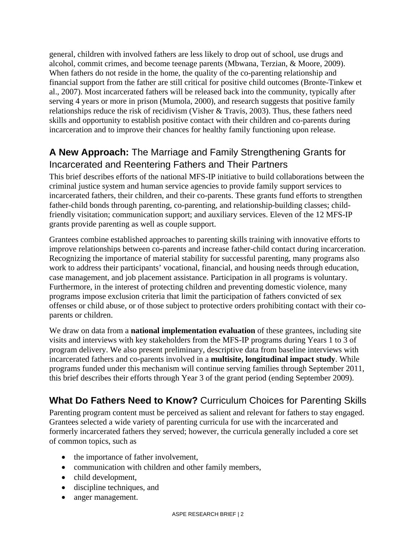general, children with involved fathers are less likely to drop out of school, use drugs and alcohol, commit crimes, and become teenage parents (Mbwana, Terzian, & Moore, 2009). When fathers do not reside in the home, the quality of the co-parenting relationship and financial support from the father are still critical for positive child outcomes (Bronte-Tinkew et al., 2007). Most incarcerated fathers will be released back into the community, typically after serving 4 years or more in prison (Mumola, 2000), and research suggests that positive family relationships reduce the risk of recidivism (Visher & Travis, 2003). Thus, these fathers need skills and opportunity to establish positive contact with their children and co-parents during incarceration and to improve their chances for healthy family functioning upon release.

## **A New Approach:** The Marriage and Family Strengthening Grants for Incarcerated and Reentering Fathers and Their Partners

This brief describes efforts of the national MFS-IP initiative to build collaborations between the criminal justice system and human service agencies to provide family support services to incarcerated fathers, their children, and their co-parents. These grants fund efforts to strengthen father-child bonds through parenting, co-parenting, and relationship-building classes; childfriendly visitation; communication support; and auxiliary services. Eleven of the 12 MFS-IP grants provide parenting as well as couple support.

Grantees combine established approaches to parenting skills training with innovative efforts to improve relationships between co-parents and increase father-child contact during incarceration. Recognizing the importance of material stability for successful parenting, many programs also work to address their participants' vocational, financial, and housing needs through education, case management, and job placement assistance. Participation in all programs is voluntary. Furthermore, in the interest of protecting children and preventing domestic violence, many programs impose exclusion criteria that limit the participation of fathers convicted of sex offenses or child abuse, or of those subject to protective orders prohibiting contact with their coparents or children.

We draw on data from a **national implementation evaluation** of these grantees, including site visits and interviews with key stakeholders from the MFS-IP programs during Years 1 to 3 of program delivery. We also present preliminary, descriptive data from baseline interviews with incarcerated fathers and co-parents involved in a **multisite, longitudinal impact study**. While programs funded under this mechanism will continue serving families through September 2011, this brief describes their efforts through Year 3 of the grant period (ending September 2009).

# **What Do Fathers Need to Know?** Curriculum Choices for Parenting Skills

Parenting program content must be perceived as salient and relevant for fathers to stay engaged. Grantees selected a wide variety of parenting curricula for use with the incarcerated and formerly incarcerated fathers they served; however, the curricula generally included a core set of common topics, such as

- the importance of father involvement,
- communication with children and other family members,
- child development,
- discipline techniques, and
- anger management.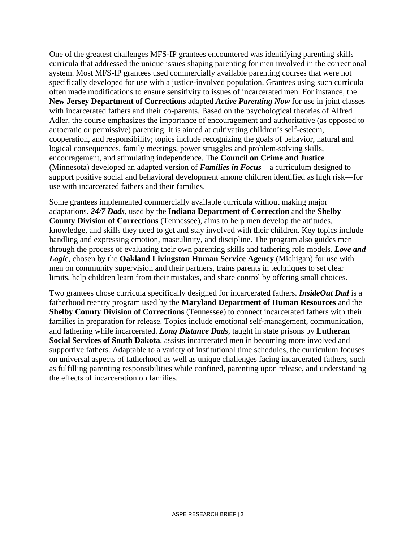One of the greatest challenges MFS-IP grantees encountered was identifying parenting skills curricula that addressed the unique issues shaping parenting for men involved in the correctional system. Most MFS-IP grantees used commercially available parenting courses that were not specifically developed for use with a justice-involved population. Grantees using such curricula often made modifications to ensure sensitivity to issues of incarcerated men. For instance, the **New Jersey Department of Corrections** adapted *Active Parenting Now* for use in joint classes with incarcerated fathers and their co-parents. Based on the psychological theories of Alfred Adler, the course emphasizes the importance of encouragement and authoritative (as opposed to autocratic or permissive) parenting. It is aimed at cultivating children's self-esteem, cooperation, and responsibility; topics include recognizing the goals of behavior, natural and logical consequences, family meetings, power struggles and problem-solving skills, encouragement, and stimulating independence. The **Council on Crime and Justice**  (Minnesota) developed an adapted version of *Families in Focus*—a curriculum designed to support positive social and behavioral development among children identified as high risk—for use with incarcerated fathers and their families.

Some grantees implemented commercially available curricula without making major adaptations. *24/7 Dads*, used by the **Indiana Department of Correction** and the **Shelby County Division of Corrections** (Tennessee), aims to help men develop the attitudes, knowledge, and skills they need to get and stay involved with their children. Key topics include handling and expressing emotion, masculinity, and discipline. The program also guides men through the process of evaluating their own parenting skills and fathering role models. *Love and Logic*, chosen by the **Oakland Livingston Human Service Agency** (Michigan) for use with men on community supervision and their partners, trains parents in techniques to set clear limits, help children learn from their mistakes, and share control by offering small choices.

Two grantees chose curricula specifically designed for incarcerated fathers. *InsideOut Dad* is a fatherhood reentry program used by the **Maryland Department of Human Resources** and the **Shelby County Division of Corrections** (Tennessee) to connect incarcerated fathers with their families in preparation for release. Topics include emotional self-management, communication, and fathering while incarcerated. *Long Distance Dads*, taught in state prisons by **Lutheran Social Services of South Dakota**, assists incarcerated men in becoming more involved and supportive fathers. Adaptable to a variety of institutional time schedules, the curriculum focuses on universal aspects of fatherhood as well as unique challenges facing incarcerated fathers, such as fulfilling parenting responsibilities while confined, parenting upon release, and understanding the effects of incarceration on families.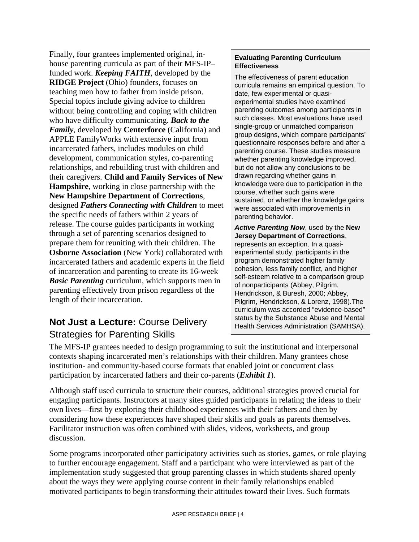Finally, four grantees implemented original, inhouse parenting curricula as part of their MFS-IP– funded work. *Keeping FAITH*, developed by the **RIDGE Project** (Ohio) founders, focuses on teaching men how to father from inside prison. Special topics include giving advice to children without being controlling and coping with children who have difficulty communicating. *Back to the Family*, developed by **Centerforce** (California) and APPLE FamilyWorks with extensive input from incarcerated fathers, includes modules on child development, communication styles, co-parenting relationships, and rebuilding trust with children and their caregivers. **Child and Family Services of New Hampshire**, working in close partnership with the **New Hampshire Department of Corrections**, designed *Fathers Connecting with Children* to meet the specific needs of fathers within 2 years of release. The course guides participants in working through a set of parenting scenarios designed to prepare them for reuniting with their children. The **Osborne Association** (New York) collaborated with incarcerated fathers and academic experts in the field of incarceration and parenting to create its 16-week *Basic Parenting* curriculum, which supports men in parenting effectively from prison regardless of the length of their incarceration.

# **Not Just a Lecture:** Course Delivery status by the Substance Abuse and Mental Health Services Administration (SAMHSA). Strategies for Parenting Skills

#### **Evaluating Parenting Curriculum Effectiveness**

The effectiveness of parent education curricula remains an empirical question. To date, few experimental or quasiexperimental studies have examined parenting outcomes among participants in such classes. Most evaluations have used single-group or unmatched comparison group designs, which compare participants' questionnaire responses before and after a parenting course. These studies measure whether parenting knowledge improved, but do not allow any conclusions to be drawn regarding whether gains in knowledge were due to participation in the course, whether such gains were sustained, or whether the knowledge gains were associated with improvements in parenting behavior.

*Active Parenting Now*, used by the **New Jersey Department of Corrections**, represents an exception. In a quasiexperimental study, participants in the program demonstrated higher family cohesion, less family conflict, and higher self-esteem relative to a comparison group of nonparticipants (Abbey, Pilgrim, Hendrickson, & Buresh, 2000; Abbey, Pilgrim, Hendrickson, & Lorenz, 1998).The curriculum was accorded "evidence-based"

The MFS-IP grantees needed to design programming to suit the institutional and interpersonal contexts shaping incarcerated men's relationships with their children. Many grantees chose institution- and community-based course formats that enabled joint or concurrent class participation by incarcerated fathers and their co-parents (*Exhibit 1*).

Although staff used curricula to structure their courses, additional strategies proved crucial for engaging participants. Instructors at many sites guided participants in relating the ideas to their own lives—first by exploring their childhood experiences with their fathers and then by considering how these experiences have shaped their skills and goals as parents themselves. Facilitator instruction was often combined with slides, videos, worksheets, and group discussion.

Some programs incorporated other participatory activities such as stories, games, or role playing to further encourage engagement. Staff and a participant who were interviewed as part of the implementation study suggested that group parenting classes in which students shared openly about the ways they were applying course content in their family relationships enabled motivated participants to begin transforming their attitudes toward their lives. Such formats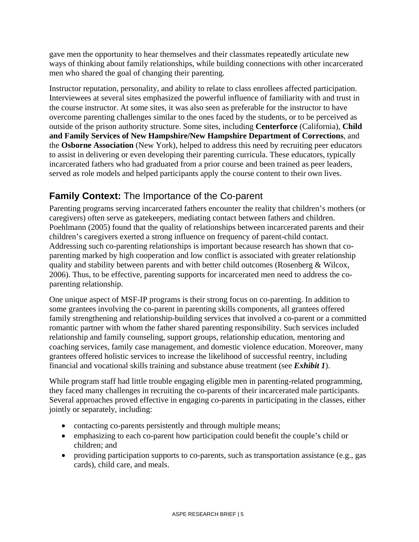gave men the opportunity to hear themselves and their classmates repeatedly articulate new ways of thinking about family relationships, while building connections with other incarcerated men who shared the goal of changing their parenting.

Instructor reputation, personality, and ability to relate to class enrollees affected participation. Interviewees at several sites emphasized the powerful influence of familiarity with and trust in the course instructor. At some sites, it was also seen as preferable for the instructor to have overcome parenting challenges similar to the ones faced by the students, or to be perceived as outside of the prison authority structure. Some sites, including **Centerforce** (California), **Child and Family Services of New Hampshire/New Hampshire Department of Corrections**, and the **Osborne Association** (New York), helped to address this need by recruiting peer educators to assist in delivering or even developing their parenting curricula. These educators, typically incarcerated fathers who had graduated from a prior course and been trained as peer leaders, served as role models and helped participants apply the course content to their own lives.

#### **Family Context:** The Importance of the Co-parent

Parenting programs serving incarcerated fathers encounter the reality that children's mothers (or caregivers) often serve as gatekeepers, mediating contact between fathers and children. Poehlmann (2005) found that the quality of relationships between incarcerated parents and their children's caregivers exerted a strong influence on frequency of parent-child contact. Addressing such co-parenting relationships is important because research has shown that coparenting marked by high cooperation and low conflict is associated with greater relationship quality and stability between parents and with better child outcomes (Rosenberg & Wilcox, 2006). Thus, to be effective, parenting supports for incarcerated men need to address the coparenting relationship.

One unique aspect of MSF-IP programs is their strong focus on co-parenting. In addition to some grantees involving the co-parent in parenting skills components, all grantees offered family strengthening and relationship-building services that involved a co-parent or a committed romantic partner with whom the father shared parenting responsibility. Such services included relationship and family counseling, support groups, relationship education, mentoring and coaching services, family case management, and domestic violence education. Moreover, many grantees offered holistic services to increase the likelihood of successful reentry, including financial and vocational skills training and substance abuse treatment (see *Exhibit 1*).

While program staff had little trouble engaging eligible men in parenting-related programming, they faced many challenges in recruiting the co-parents of their incarcerated male participants. Several approaches proved effective in engaging co-parents in participating in the classes, either jointly or separately, including:

- contacting co-parents persistently and through multiple means;
- emphasizing to each co-parent how participation could benefit the couple's child or children; and
- providing participation supports to co-parents, such as transportation assistance (e.g., gas cards), child care, and meals.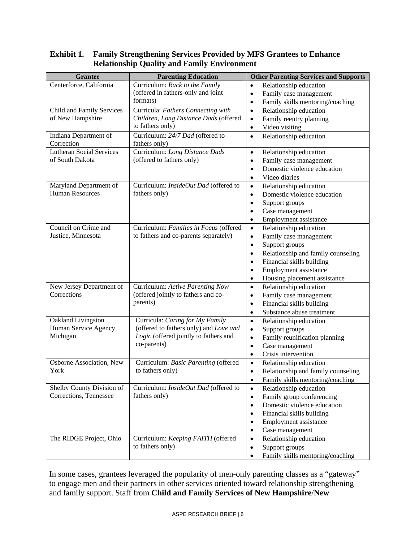#### **Exhibit 1. Family Strengthening Services Provided by MFS Grantees to Enhance Relationship Quality and Family Environment**

| <b>Grantee</b>                      | <b>Parenting Education</b>                        | <b>Other Parenting Services and Supports</b>    |  |  |
|-------------------------------------|---------------------------------------------------|-------------------------------------------------|--|--|
| Centerforce, California             | Curriculum: Back to the Family                    | Relationship education<br>$\bullet$             |  |  |
|                                     | (offered in fathers-only and joint                | Family case management<br>$\bullet$             |  |  |
|                                     | formats)                                          | Family skills mentoring/coaching<br>$\bullet$   |  |  |
| Child and Family Services           | Curricula: Fathers Connecting with                | Relationship education<br>$\bullet$             |  |  |
| of New Hampshire                    | Children, Long Distance Dads (offered             | Family reentry planning<br>$\bullet$            |  |  |
|                                     | to fathers only)                                  | Video visiting<br>$\bullet$                     |  |  |
| Indiana Department of<br>Correction | Curriculum: 24/7 Dad (offered to<br>fathers only) | Relationship education<br>$\bullet$             |  |  |
| <b>Lutheran Social Services</b>     | Curriculum: Long Distance Dads                    | Relationship education<br>$\bullet$             |  |  |
| of South Dakota                     | (offered to fathers only)                         | Family case management<br>$\bullet$             |  |  |
|                                     |                                                   | Domestic violence education<br>$\bullet$        |  |  |
|                                     |                                                   | Video diaries<br>$\bullet$                      |  |  |
| Maryland Department of              | Curriculum: InsideOut Dad (offered to             | Relationship education<br>$\bullet$             |  |  |
| <b>Human Resources</b>              | fathers only)                                     | Domestic violence education<br>$\bullet$        |  |  |
|                                     |                                                   | Support groups<br>$\bullet$                     |  |  |
|                                     |                                                   | Case management<br>$\bullet$                    |  |  |
|                                     |                                                   | Employment assistance<br>$\bullet$              |  |  |
| Council on Crime and                | Curriculum: Families in Focus (offered            | Relationship education<br>$\bullet$             |  |  |
| Justice, Minnesota                  | to fathers and co-parents separately)             | Family case management<br>$\bullet$             |  |  |
|                                     |                                                   | Support groups<br>$\bullet$                     |  |  |
|                                     |                                                   | Relationship and family counseling<br>$\bullet$ |  |  |
|                                     |                                                   | Financial skills building<br>$\bullet$          |  |  |
|                                     |                                                   | Employment assistance<br>$\bullet$              |  |  |
|                                     |                                                   | Housing placement assistance<br>$\bullet$       |  |  |
| New Jersey Department of            | Curriculum: Active Parenting Now                  | Relationship education<br>$\bullet$             |  |  |
| Corrections                         | (offered jointly to fathers and co-               | Family case management<br>$\bullet$             |  |  |
|                                     | parents)                                          | Financial skills building<br>$\bullet$          |  |  |
|                                     |                                                   | Substance abuse treatment<br>$\bullet$          |  |  |
| Oakland Livingston                  | Curricula: Caring for My Family                   | $\bullet$<br>Relationship education             |  |  |
| Human Service Agency,               | (offered to fathers only) and Love and            | Support groups<br>$\bullet$                     |  |  |
| Michigan                            | Logic (offered jointly to fathers and             | Family reunification planning<br>$\bullet$      |  |  |
|                                     | co-parents)                                       | Case management<br>$\bullet$                    |  |  |
|                                     |                                                   | Crisis intervention<br>$\bullet$                |  |  |
| Osborne Association, New            | Curriculum: Basic Parenting (offered              | Relationship education<br>$\bullet$             |  |  |
| York                                | to fathers only)                                  | Relationship and family counseling<br>$\bullet$ |  |  |
|                                     |                                                   | Family skills mentoring/coaching<br>$\bullet$   |  |  |
| Shelby County Division of           | Curriculum: InsideOut Dad (offered to             | Relationship education<br>$\bullet$             |  |  |
| Corrections, Tennessee              | fathers only)                                     | Family group conferencing<br>$\bullet$          |  |  |
|                                     |                                                   | Domestic violence education<br>$\bullet$        |  |  |
|                                     |                                                   | Financial skills building<br>$\bullet$          |  |  |
|                                     |                                                   | Employment assistance<br>$\bullet$              |  |  |
|                                     |                                                   | Case management<br>$\bullet$                    |  |  |
| The RIDGE Project, Ohio             | Curriculum: Keeping FAITH (offered                | Relationship education<br>$\bullet$             |  |  |
|                                     | to fathers only)                                  | Support groups<br>$\bullet$                     |  |  |
|                                     |                                                   | Family skills mentoring/coaching<br>$\bullet$   |  |  |

In some cases, grantees leveraged the popularity of men-only parenting classes as a "gateway" to engage men and their partners in other services oriented toward relationship strengthening and family support. Staff from **Child and Family Services of New Hampshire**/**New**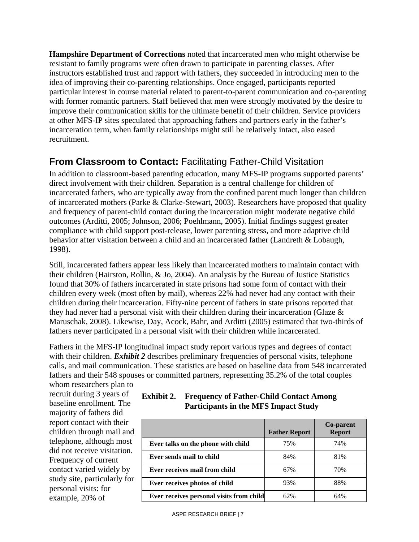**Hampshire Department of Corrections** noted that incarcerated men who might otherwise be resistant to family programs were often drawn to participate in parenting classes. After instructors established trust and rapport with fathers, they succeeded in introducing men to the idea of improving their co-parenting relationships. Once engaged, participants reported particular interest in course material related to parent-to-parent communication and co-parenting with former romantic partners. Staff believed that men were strongly motivated by the desire to improve their communication skills for the ultimate benefit of their children. Service providers at other MFS-IP sites speculated that approaching fathers and partners early in the father's incarceration term, when family relationships might still be relatively intact, also eased recruitment.

### **From Classroom to Contact:** Facilitating Father-Child Visitation

In addition to classroom-based parenting education, many MFS-IP programs supported parents' direct involvement with their children. Separation is a central challenge for children of incarcerated fathers, who are typically away from the confined parent much longer than children of incarcerated mothers (Parke & Clarke-Stewart, 2003). Researchers have proposed that quality and frequency of parent-child contact during the incarceration might moderate negative child outcomes (Arditti, 2005; Johnson, 2006; Poehlmann, 2005). Initial findings suggest greater compliance with child support post-release, lower parenting stress, and more adaptive child behavior after visitation between a child and an incarcerated father (Landreth & Lobaugh, 1998).

Still, incarcerated fathers appear less likely than incarcerated mothers to maintain contact with their children (Hairston, Rollin, & Jo, 2004). An analysis by the Bureau of Justice Statistics found that 30% of fathers incarcerated in state prisons had some form of contact with their children every week (most often by mail), whereas 22% had never had any contact with their children during their incarceration. Fifty-nine percent of fathers in state prisons reported that they had never had a personal visit with their children during their incarceration (Glaze & Maruschak, 2008). Likewise, Day, Acock, Bahr, and Arditti (2005) estimated that two-thirds of fathers never participated in a personal visit with their children while incarcerated.

Fathers in the MFS-IP longitudinal impact study report various types and degrees of contact with their children. *Exhibit 2* describes preliminary frequencies of personal visits, telephone calls, and mail communication. These statistics are based on baseline data from 548 incarcerated fathers and their 548 spouses or committed partners, representing 35.2% of the total couples

whom researchers plan to recruit during 3 years of baseline enrollment. The majority of fathers did report contact with their children through mail and telephone, although most did not receive visitation. Frequency of current contact varied widely by study site, particularly for personal visits: for example, 20% of

| Exhibit 2. | <b>Frequency of Father-Child Contact Among</b> |
|------------|------------------------------------------------|
|            | <b>Participants in the MFS Impact Study</b>    |

|                                          | <b>Father Report</b> | <b>Co-parent</b><br><b>Report</b> |
|------------------------------------------|----------------------|-----------------------------------|
| Ever talks on the phone with child       | 75%                  | 74%                               |
| Ever sends mail to child                 | 84%                  | 81%                               |
| Ever receives mail from child            | 67%                  | 70%                               |
| Ever receives photos of child            | 93%                  | 88%                               |
| Ever receives personal visits from child | 62%                  | 64%                               |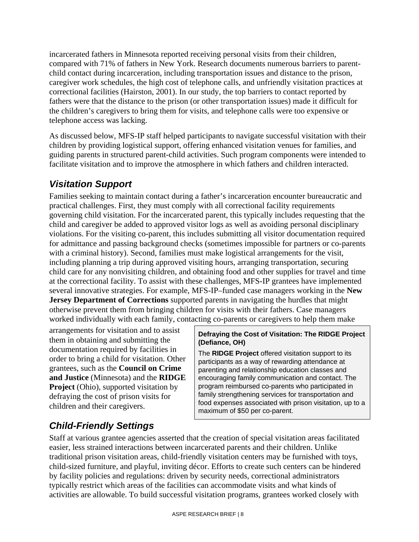incarcerated fathers in Minnesota reported receiving personal visits from their children, compared with 71% of fathers in New York. Research documents numerous barriers to parentchild contact during incarceration, including transportation issues and distance to the prison, caregiver work schedules, the high cost of telephone calls, and unfriendly visitation practices at correctional facilities (Hairston, 2001). In our study, the top barriers to contact reported by fathers were that the distance to the prison (or other transportation issues) made it difficult for the children's caregivers to bring them for visits, and telephone calls were too expensive or telephone access was lacking.

As discussed below, MFS-IP staff helped participants to navigate successful visitation with their children by providing logistical support, offering enhanced visitation venues for families, and guiding parents in structured parent-child activities. Such program components were intended to facilitate visitation and to improve the atmosphere in which fathers and children interacted.

### *Visitation Support*

Families seeking to maintain contact during a father's incarceration encounter bureaucratic and practical challenges. First, they must comply with all correctional facility requirements governing child visitation. For the incarcerated parent, this typically includes requesting that the child and caregiver be added to approved visitor logs as well as avoiding personal disciplinary violations. For the visiting co-parent, this includes submitting all visitor documentation required for admittance and passing background checks (sometimes impossible for partners or co-parents with a criminal history). Second, families must make logistical arrangements for the visit, including planning a trip during approved visiting hours, arranging transportation, securing child care for any nonvisiting children, and obtaining food and other supplies for travel and time at the correctional facility. To assist with these challenges, MFS-IP grantees have implemented several innovative strategies. For example, MFS-IP–funded case managers working in the **New Jersey Department of Corrections** supported parents in navigating the hurdles that might otherwise prevent them from bringing children for visits with their fathers. Case managers worked individually with each family, contacting co-parents or caregivers to help them make

arrangements for visitation and to assist them in obtaining and submitting the documentation required by facilities in order to bring a child for visitation. Other grantees, such as the **Council on Crime and Justice** (Minnesota) and the **RIDGE Project** (Ohio), supported visitation by defraying the cost of prison visits for children and their caregivers.

#### **Defraying the Cost of Visitation: The RIDGE Project (Defiance, OH)**

The **RIDGE Project** offered visitation support to its participants as a way of rewarding attendance at parenting and relationship education classes and encouraging family communication and contact. The program reimbursed co-parents who participated in family strengthening services for transportation and food expenses associated with prison visitation, up to a maximum of \$50 per co-parent.

# *Child-Friendly Settings*

Staff at various grantee agencies asserted that the creation of special visitation areas facilitated easier, less strained interactions between incarcerated parents and their children. Unlike traditional prison visitation areas, child-friendly visitation centers may be furnished with toys, child-sized furniture, and playful, inviting décor. Efforts to create such centers can be hindered by facility policies and regulations: driven by security needs, correctional administrators typically restrict which areas of the facilities can accommodate visits and what kinds of activities are allowable. To build successful visitation programs, grantees worked closely with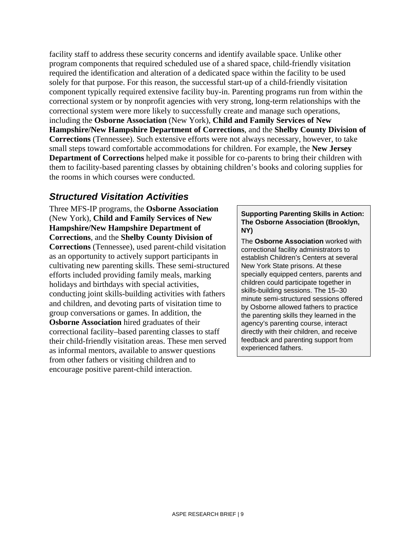facility staff to address these security concerns and identify available space. Unlike other program components that required scheduled use of a shared space, child-friendly visitation required the identification and alteration of a dedicated space within the facility to be used solely for that purpose. For this reason, the successful start-up of a child-friendly visitation component typically required extensive facility buy-in. Parenting programs run from within the correctional system or by nonprofit agencies with very strong, long-term relationships with the correctional system were more likely to successfully create and manage such operations, including the **Osborne Association** (New York), **Child and Family Services of New Hampshire/New Hampshire Department of Corrections**, and the **Shelby County Division of Corrections** (Tennessee). Such extensive efforts were not always necessary, however, to take small steps toward comfortable accommodations for children. For example, the **New Jersey Department of Corrections** helped make it possible for co-parents to bring their children with them to facility-based parenting classes by obtaining children's books and coloring supplies for the rooms in which courses were conducted.

#### *Structured Visitation Activities*

Three MFS-IP programs, the **Osborne Association** (New York), **Child and Family Services of New Hampshire/New Hampshire Department of Corrections**, and the **Shelby County Division of Corrections** (Tennessee), used parent-child visitation as an opportunity to actively support participants in cultivating new parenting skills. These semi-structured efforts included providing family meals, marking holidays and birthdays with special activities, conducting joint skills-building activities with fathers and children, and devoting parts of visitation time to group conversations or games. In addition, the **Osborne Association** hired graduates of their correctional facility–based parenting classes to staff their child-friendly visitation areas. These men served as informal mentors, available to answer questions from other fathers or visiting children and to encourage positive parent-child interaction.

#### **Supporting Parenting Skills in Action: The Osborne Association (Brooklyn, NY)**

The **Osborne Association** worked with correctional facility administrators to establish Children's Centers at several New York State prisons. At these specially equipped centers, parents and children could participate together in skills-building sessions. The 15–30 minute semi-structured sessions offered by Osborne allowed fathers to practice the parenting skills they learned in the agency's parenting course, interact directly with their children, and receive feedback and parenting support from experienced fathers.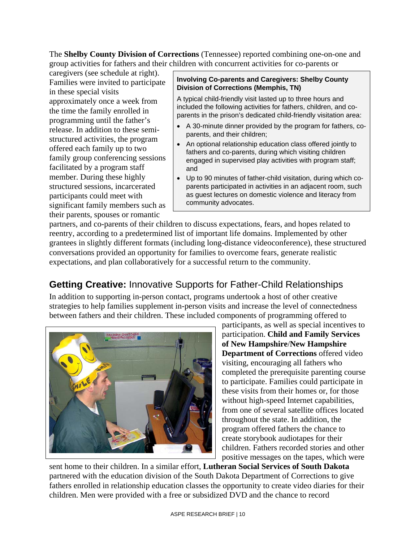The **Shelby County Division of Corrections** (Tennessee) reported combining one-on-one and group activities for fathers and their children with concurrent activities for co-parents or

caregivers (see schedule at right). Families were invited to participate in these special visits approximately once a week from the time the family enrolled in programming until the father's release. In addition to these semistructured activities, the program offered each family up to two family group conferencing sessions facilitated by a program staff member. During these highly structured sessions, incarcerated participants could meet with significant family members such as their parents, spouses or romantic

#### **Involving Co-parents and Caregivers: Shelby County Division of Corrections (Memphis, TN)**

A typical child-friendly visit lasted up to three hours and included the following activities for fathers, children, and coparents in the prison's dedicated child-friendly visitation area:

- A 30-minute dinner provided by the program for fathers, coparents, and their children;
- An optional relationship education class offered jointly to fathers and co-parents, during which visiting children engaged in supervised play activities with program staff; and
- Up to 90 minutes of father-child visitation, during which coparents participated in activities in an adjacent room, such as guest lectures on domestic violence and literacy from community advocates.

partners, and co-parents of their children to discuss expectations, fears, and hopes related to reentry, according to a predetermined list of important life domains. Implemented by other grantees in slightly different formats (including long-distance videoconference), these structured conversations provided an opportunity for families to overcome fears, generate realistic expectations, and plan collaboratively for a successful return to the community.

# **Getting Creative:** Innovative Supports for Father-Child Relationships

In addition to supporting in-person contact, programs undertook a host of other creative strategies to help families supplement in-person visits and increase the level of connectedness between fathers and their children. These included components of programming offered to



participants, as well as special incentives to participation. **Child and Family Services of New Hampshire**/**New Hampshire Department of Corrections** offered video visiting, encouraging all fathers who completed the prerequisite parenting course to participate. Families could participate in these visits from their homes or, for those without high-speed Internet capabilities, from one of several satellite offices located throughout the state. In addition, the program offered fathers the chance to create storybook audiotapes for their children. Fathers recorded stories and other positive messages on the tapes, which were

sent home to their children. In a similar effort, **Lutheran Social Services of South Dakota**  partnered with the education division of the South Dakota Department of Corrections to give fathers enrolled in relationship education classes the opportunity to create video diaries for their children. Men were provided with a free or subsidized DVD and the chance to record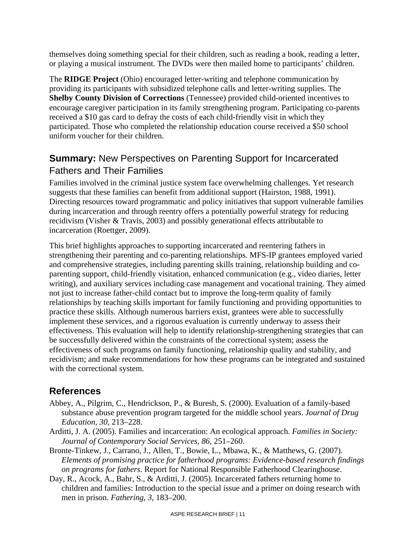themselves doing something special for their children, such as reading a book, reading a letter, or playing a musical instrument. The DVDs were then mailed home to participants' children.

The **RIDGE Project** (Ohio) encouraged letter-writing and telephone communication by providing its participants with subsidized telephone calls and letter-writing supplies. The **Shelby County Division of Corrections** (Tennessee) provided child-oriented incentives to encourage caregiver participation in its family strengthening program. Participating co-parents received a \$10 gas card to defray the costs of each child-friendly visit in which they participated. Those who completed the relationship education course received a \$50 school uniform voucher for their children.

### **Summary:** New Perspectives on Parenting Support for Incarcerated Fathers and Their Families

Families involved in the criminal justice system face overwhelming challenges. Yet research suggests that these families can benefit from additional support (Hairston, 1988, 1991). Directing resources toward programmatic and policy initiatives that support vulnerable families during incarceration and through reentry offers a potentially powerful strategy for reducing recidivism (Visher & Travis, 2003) and possibly generational effects attributable to incarceration (Roettger, 2009).

This brief highlights approaches to supporting incarcerated and reentering fathers in strengthening their parenting and co-parenting relationships. MFS-IP grantees employed varied and comprehensive strategies, including parenting skills training, relationship building and coparenting support, child-friendly visitation, enhanced communication (e.g., video diaries, letter writing), and auxiliary services including case management and vocational training. They aimed not just to increase father-child contact but to improve the long-term quality of family relationships by teaching skills important for family functioning and providing opportunities to practice these skills. Although numerous barriers exist, grantees were able to successfully implement these services, and a rigorous evaluation is currently underway to assess their effectiveness. This evaluation will help to identify relationship-strengthening strategies that can be successfully delivered within the constraints of the correctional system; assess the effectiveness of such programs on family functioning, relationship quality and stability, and recidivism; and make recommendations for how these programs can be integrated and sustained with the correctional system.

#### **References**

- Abbey, A., Pilgrim, C., Hendrickson, P., & Buresh, S. (2000). Evaluation of a family-based substance abuse prevention program targeted for the middle school years. *Journal of Drug Education, 30,* 213–228.
- Arditti, J. A. (2005). Families and incarceration: An ecological approach. *Families in Society: Journal of Contemporary Social Services*, *86,* 251–260.
- Bronte-Tinkew, J., Carrano, J., Allen, T., Bowie, L., Mbawa, K., & Matthews, G. (2007). *Elements of promising practice for fatherhood programs: Evidence-based research findings on programs for fathers*. Report for National Responsible Fatherhood Clearinghouse.
- Day, R., Acock, A., Bahr, S., & Arditti, J. (2005). Incarcerated fathers returning home to children and families: Introduction to the special issue and a primer on doing research with men in prison. *Fathering*, *3,* 183–200.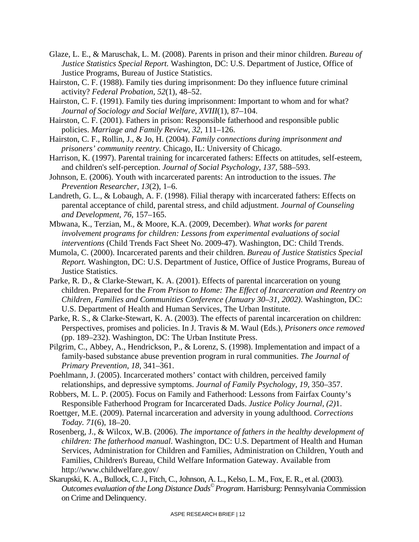- Glaze, L. E., & Maruschak, L. M. (2008). Parents in prison and their minor children. *Bureau of Justice Statistics Special Report.* Washington, DC: U.S. Department of Justice, Office of Justice Programs, Bureau of Justice Statistics.
- Hairston, C. F. (1988). Family ties during imprisonment: Do they influence future criminal activity? *Federal Probation, 52*(1), 48–52.
- Hairston, C. F. (1991). Family ties during imprisonment: Important to whom and for what? *Journal of Sociology and Social Welfare*, *XVIII*(1), 87–104.
- Hairston, C. F. (2001). Fathers in prison: Responsible fatherhood and responsible public policies. *Marriage and Family Review*, *32,* 111–126.
- Hairston, C. F., Rollin, J., & Jo, H. (2004). *Family connections during imprisonment and prisoners' community reentry.* Chicago, IL: University of Chicago.
- Harrison, K. (1997). Parental training for incarcerated fathers: Effects on attitudes, self-esteem, and children's self-perception. *Journal of Social Psychology, 137,* 588–593.
- Johnson, E. (2006). Youth with incarcerated parents: An introduction to the issues. *The Prevention Researcher, 13*(2), 1–6.
- Landreth, G. L., & Lobaugh, A. F. (1998). Filial therapy with incarcerated fathers: Effects on parental acceptance of child, parental stress, and child adjustment. *Journal of Counseling and Development, 76,* 157–165.
- Mbwana, K., Terzian, M., & Moore, K.A. (2009, December). *What works for parent involvement programs for children: Lessons from experimental evaluations of social interventions* (Child Trends Fact Sheet No. 2009-47). Washington, DC: Child Trends.
- Mumola, C. (2000). Incarcerated parents and their children. *Bureau of Justice Statistics Special Report.* Washington, DC: U.S. Department of Justice, Office of Justice Programs, Bureau of Justice Statistics.
- Parke, R. D., & Clarke-Stewart, K. A. (2001). Effects of parental incarceration on young children. Prepared for the *From Prison to Home: The Effect of Incarceration and Reentry on Children, Families and Communities Conference (January 30–31, 2002)*. Washington, DC: U.S. Department of Health and Human Services, The Urban Institute.
- Parke, R. S., & Clarke-Stewart, K. A. (2003). The effects of parental incarceration on children: Perspectives, promises and policies. In J. Travis & M. Waul (Eds.), *Prisoners once removed* (pp. 189–232). Washington, DC: The Urban Institute Press.
- Pilgrim, C., Abbey, A., Hendrickson, P., & Lorenz, S. (1998). Implementation and impact of a family-based substance abuse prevention program in rural communities. *The Journal of Primary Prevention, 18,* 341–361.
- Poehlmann, J. (2005). Incarcerated mothers' contact with children, perceived family relationships, and depressive symptoms. *Journal of Family Psychology, 19,* 350–357.
- Robbers, M. L. P. (2005). Focus on Family and Fatherhood: Lessons from Fairfax County's Responsible Fatherhood Program for Incarcerated Dads. *Justice Policy Journal, (2)*1.
- Roettger, M.E. (2009). Paternal incarceration and adversity in young adulthood. *Corrections Today. 71*(6), 18–20.
- Rosenberg, J., & Wilcox, W.B. (2006). *The importance of fathers in the healthy development of children: The fatherhood manual*. Washington, DC: U.S. Department of Health and Human Services, Administration for Children and Families, Administration on Children, Youth and Families, Children's Bureau, Child Welfare Information Gateway. Available from http://www.childwelfare.gov/
- Skarupski, K. A., Bullock, C. J., Fitch, C., Johnson, A. L., Kelso, L. M., Fox, E. R., et al. (2003). *Outcomes evaluation of the Long Distance Dads© Program*. Harrisburg: Pennsylvania Commission on Crime and Delinquency.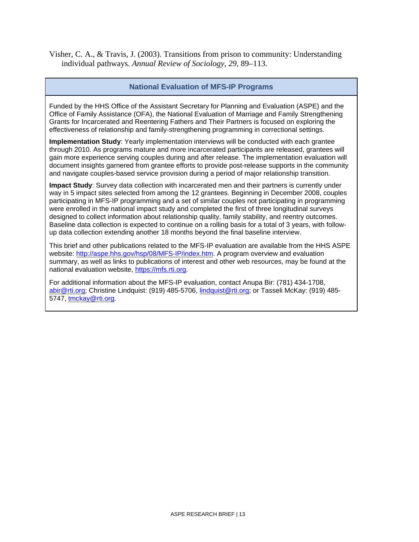Visher, C. A., & Travis, J. (2003). Transitions from prison to community: Understanding individual pathways. *Annual Review of Sociology, 29,* 89–113.

#### **National Evaluation of MFS-IP Programs**

Funded by the HHS Office of the Assistant Secretary for Planning and Evaluation (ASPE) and the Office of Family Assistance (OFA), the National Evaluation of Marriage and Family Strengthening Grants for Incarcerated and Reentering Fathers and Their Partners is focused on exploring the effectiveness of relationship and family-strengthening programming in correctional settings.

**Implementation Study**: Yearly implementation interviews will be conducted with each grantee through 2010. As programs mature and more incarcerated participants are released, grantees will gain more experience serving couples during and after release. The implementation evaluation will document insights garnered from grantee efforts to provide post-release supports in the community and navigate couples-based service provision during a period of major relationship transition.

**Impact Study**: Survey data collection with incarcerated men and their partners is currently under way in 5 impact sites selected from among the 12 grantees. Beginning in December 2008, couples participating in MFS-IP programming and a set of similar couples not participating in programming were enrolled in the national impact study and completed the first of three longitudinal surveys designed to collect information about relationship quality, family stability, and reentry outcomes. Baseline data collection is expected to continue on a rolling basis for a total of 3 years, with followup data collection extending another 18 months beyond the final baseline interview.

This brief and other publications related to the MFS-IP evaluation are available from the HHS ASPE website: [http://aspe.hhs.gov/hsp/08/MFS-IP/index.htm.](http://aspe.hhs.gov/hsp/08/MFS-IP/index.htm) A program overview and evaluation summary, as well as links to publications of interest and other web resources, may be found at the national evaluation website, [https://mfs.rti.org](https://mfs.rti.org/).

For additional information about the MFS-IP evaluation, contact Anupa Bir: (781) 434-1708, [abir@rti.org](mailto:abir@rti.org); Christine Lindquist: (919) 485-5706, [lindquist@rti.org](mailto:lindquist@rti.org); or Tasseli McKay: (919) 485- 5747, [tmckay@rti.org](mailto:tmckay@rti.org).